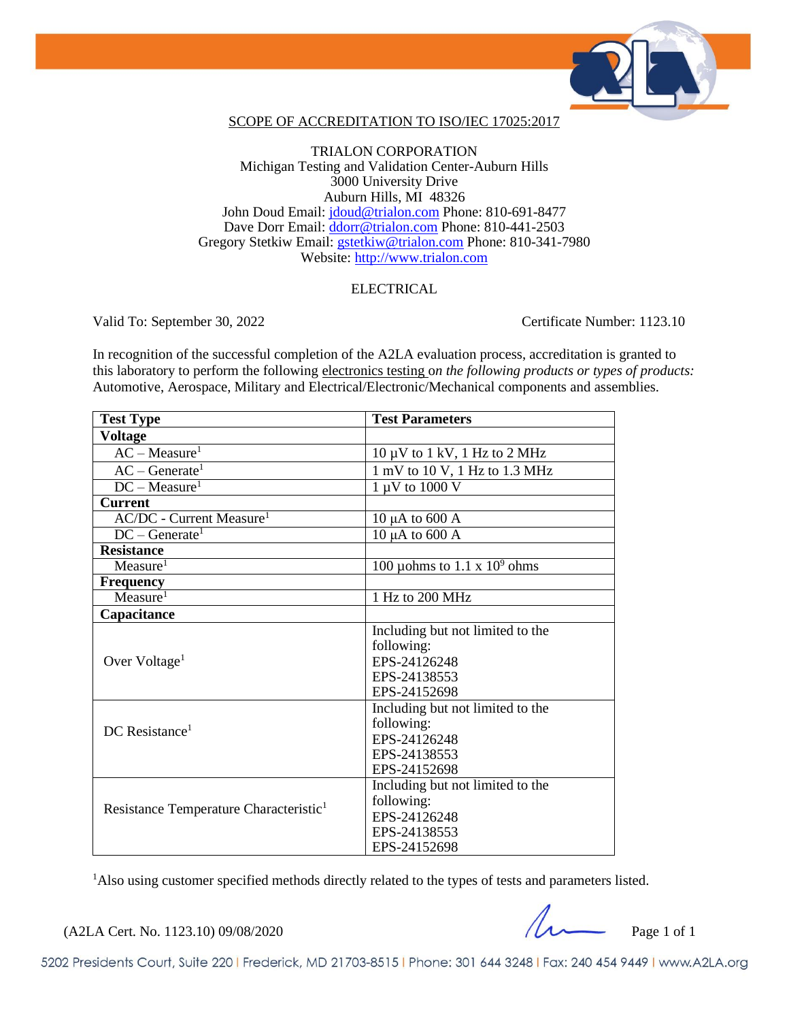

### SCOPE OF ACCREDITATION TO ISO/IEC 17025:2017

### TRIALON CORPORATION Michigan Testing and Validation Center-Auburn Hills 3000 University Drive Auburn Hills, MI 48326 John Doud Email: [jdoud@trialon.com](mailto:jdoud@trialon.com) Phone: 810-691-8477 Dave Dorr Email: [ddorr@trialon.com](mailto:ddorr@trialon.com) Phone: 810-441-2503 Gregory Stetkiw Email: [gstetkiw@trialon.com](mailto:gstetkiw@trialon.com) Phone: 810-341-7980 Website: [http://www.trialon.com](http://www.trialon.com/)

### ELECTRICAL

Valid To: September 30, 2022 Certificate Number: 1123.10

In recognition of the successful completion of the A2LA evaluation process, accreditation is granted to this laboratory to perform the following electronics testing o*n the following products or types of products:* Automotive, Aerospace, Military and Electrical/Electronic/Mechanical components and assemblies.

| <b>Test Type</b>                                   | <b>Test Parameters</b>                                           |
|----------------------------------------------------|------------------------------------------------------------------|
| <b>Voltage</b>                                     |                                                                  |
| $AC - Measure1$                                    | $10 \mu V$ to $1 \text{ kV}$ , $1 \text{ Hz}$ to $2 \text{ MHz}$ |
| $AC - Generate1$                                   | 1 mV to 10 V, 1 Hz to 1.3 MHz                                    |
| $DC - Measure1$                                    | 1 µV to 1000 V                                                   |
| <b>Current</b>                                     |                                                                  |
| $AC/DC$ - Current Measure <sup>1</sup>             | $10 \mu A$ to 600 A                                              |
| $DC - Generate1$                                   | $10 \mu A$ to 600 A                                              |
| <b>Resistance</b>                                  |                                                                  |
| Measure <sup>1</sup>                               | 100 µ ohms to 1.1 x $10^9$ ohms                                  |
| <b>Frequency</b>                                   |                                                                  |
| Measure <sup>1</sup>                               | 1 Hz to 200 MHz                                                  |
| Capacitance                                        |                                                                  |
| Over Voltage <sup>1</sup>                          | Including but not limited to the                                 |
|                                                    | following:                                                       |
|                                                    | EPS-24126248                                                     |
|                                                    | EPS-24138553                                                     |
|                                                    | EPS-24152698                                                     |
| $DC$ Resistance <sup>1</sup>                       | Including but not limited to the                                 |
|                                                    | following:                                                       |
|                                                    | EPS-24126248                                                     |
|                                                    | EPS-24138553                                                     |
|                                                    | EPS-24152698                                                     |
| Resistance Temperature Characteristic <sup>1</sup> | Including but not limited to the                                 |
|                                                    | following:                                                       |
|                                                    | EPS-24126248                                                     |
|                                                    | EPS-24138553                                                     |
|                                                    | EPS-24152698                                                     |

<sup>1</sup>Also using customer specified methods directly related to the types of tests and parameters listed.

 $(A2LA$  Cert. No. 1123.10) 09/08/2020

5202 Presidents Court, Suite 220 | Frederick, MD 21703-8515 | Phone: 301 644 3248 | Fax: 240 454 9449 | www.A2LA.org